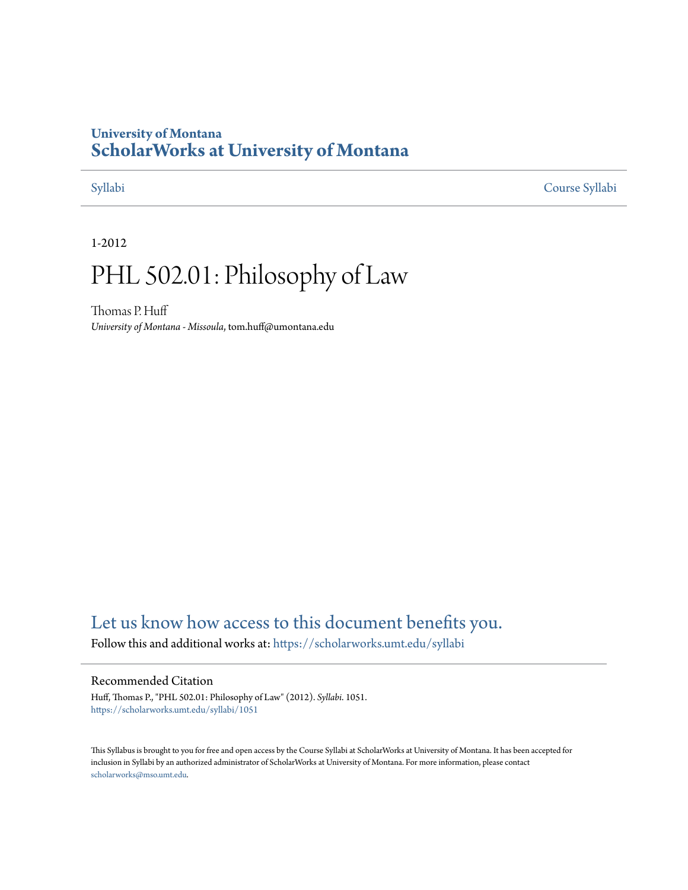# **University of Montana [ScholarWorks at University of Montana](https://scholarworks.umt.edu?utm_source=scholarworks.umt.edu%2Fsyllabi%2F1051&utm_medium=PDF&utm_campaign=PDFCoverPages)**

[Syllabi](https://scholarworks.umt.edu/syllabi?utm_source=scholarworks.umt.edu%2Fsyllabi%2F1051&utm_medium=PDF&utm_campaign=PDFCoverPages) [Course Syllabi](https://scholarworks.umt.edu/course_syllabi?utm_source=scholarworks.umt.edu%2Fsyllabi%2F1051&utm_medium=PDF&utm_campaign=PDFCoverPages)

1-2012

# PHL 502.01: Philosophy of Law

Thomas P. Huff *University of Montana - Missoula*, tom.huff@umontana.edu

# [Let us know how access to this document benefits you.](https://goo.gl/forms/s2rGfXOLzz71qgsB2)

Follow this and additional works at: [https://scholarworks.umt.edu/syllabi](https://scholarworks.umt.edu/syllabi?utm_source=scholarworks.umt.edu%2Fsyllabi%2F1051&utm_medium=PDF&utm_campaign=PDFCoverPages)

#### Recommended Citation

Huff, Thomas P., "PHL 502.01: Philosophy of Law" (2012). *Syllabi*. 1051. [https://scholarworks.umt.edu/syllabi/1051](https://scholarworks.umt.edu/syllabi/1051?utm_source=scholarworks.umt.edu%2Fsyllabi%2F1051&utm_medium=PDF&utm_campaign=PDFCoverPages)

This Syllabus is brought to you for free and open access by the Course Syllabi at ScholarWorks at University of Montana. It has been accepted for inclusion in Syllabi by an authorized administrator of ScholarWorks at University of Montana. For more information, please contact [scholarworks@mso.umt.edu](mailto:scholarworks@mso.umt.edu).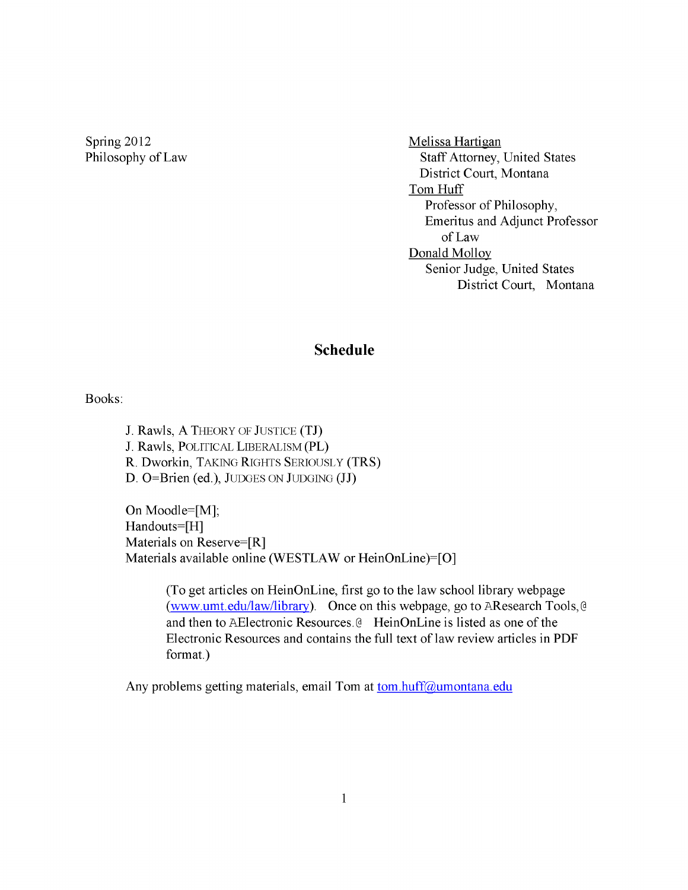Spring 2012 Melissa Hartigan

Philosophy of Law Staff Attorney, United States District Court, Montana Tom Huff Professor of Philosophy, Emeritus and Adjunct Professor of Law Donald Molloy Senior Judge, United States District Court, Montana

## **Schedule**

Books:

J. Rawls, A THEORY OF JUSTICE (TJ) J. Rawls, POLITICAL LIBERALISM (PL) R. Dworkin, TAKING RIGHTS SERIOUSLY (TRS)  $D.$  O=Brien (ed.), JUDGES ON JUDGING (JJ)

On Moodle=[M]; Handouts=[H] Materials on Reserve=[R] Materials available online (WESTLAW or HeinOnLine)=[0]

> (To get articles on HeinOnLine, first go to the law school library webpage (www.umt.edu/law/library). Once on this webpage, go to AResearch Tools, @ and then to AElectronic Resources. @ HeinOnLine is listed as one of the Electronic Resources and contains the full text of law review articles in PDF format.)

Any problems getting materials, email Tom at tom.huff@umontana.edu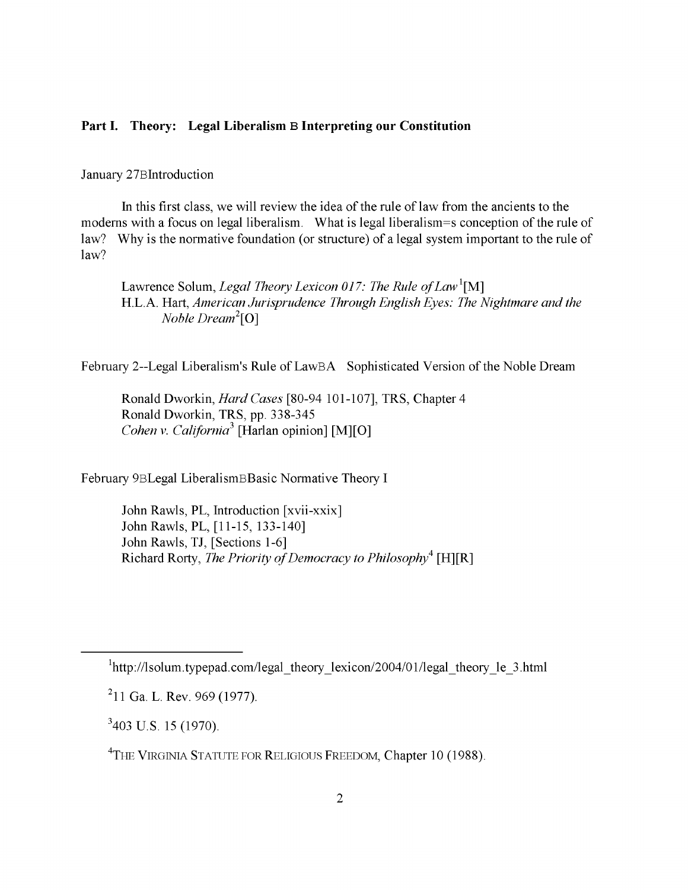#### **Part I. Theory: Legal Liberalism B Interpreting our Constitution**

January 27Blntroduction

In this first class, we will review the idea of the rule of law from the ancients to the modems with a focus on legal liberalism. What is legal liberalism=s conception of the rule of law? Why is the normative foundation (or structure) of a legal system important to the rule of law?

Lawrence Solum, *Legal Theory Lexicon 017: The Rule of Law*<sup>1</sup>[M] H.L. A. Hart, *American Jurisprudence Through English Eyes: The Nightmare and the Noble Dream*<sup>2</sup>[0]

February 2—Legal Liberalism's Rule of LawBA Sophisticated Version of the Noble Dream

Ronald Dworkin, *Hard Cases* [80-94 101-107], TRS, Chapter 4 Ronald Dworkin, TRS, pp. 338-345 *Cohen v. California*<sup>3</sup> [Harlan opinion] [M][O]

February 9BLegal LiberalismBBasic Normative Theory I

John Rawls, PL, Introduction [xvii-xxix] John Rawls, PL, [11-15, 133-140] John Rawls, TJ, [Sections 1-6] Richard Rorty, *The Priority of Democracy to Philosophy<sup>4</sup>* [H][R]

 $1$ http://lsolum.typepad.com/legal\_theory\_lexicon/2004/01/legal\_theory\_le\_3.html

<sup>211</sup> Ga. L. Rev. 969(1977).

 $3403$  U.S. 15 (1970).

<sup>&</sup>lt;sup>4</sup>THE VIRGINIA STATUTE FOR RELIGIOUS FREEDOM, Chapter 10 (1988).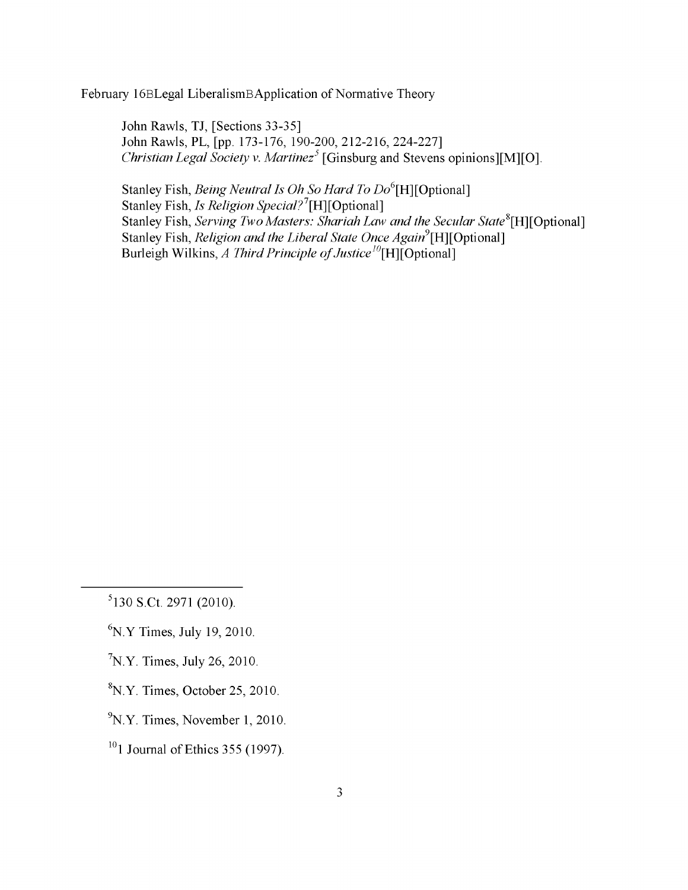February 16BLegal LiberalismBApplication of Normative Theory

John Rawls, TJ, [Sections 33-35] John Rawls, PL, [pp. 173-176, 190-200, 212-216, 224-227] *Christian Legal Society v. Martinez<sup>5</sup>* [Ginsburg and Stevens opinions][M][O].

Stanley Fish, *Being Neutral Is Oh So Hard To Do*<sup>6</sup>[H] [Optional] Stanley Fish, *Is Religion Special*?<sup>7</sup>[H][Optional] Stanley Fish, *Serving Two Masters: Shariah Law and the Secular State*<sup>8</sup>[H][Optional] Stanley Fish, *Religion and the Liberal State Once Again*<sup>9</sup>[H][Optional] Burleigh Wilkins, *A Third Principle of Justice*<sup>10</sup>[H][Optional]

- $K$ <sup>6</sup>N.Y Times, July 19, 2010.
- $N/Y$ . Times, July 26, 2010.
- ${}^{8}N.Y.$  Times, October 25, 2010.
- $\rm ^9N.Y.$  Times, November 1, 2010.
- $10$ <sup>10</sup>1 Journal of Ethics 355 (1997).

 $5130$  S.Ct. 2971 (2010).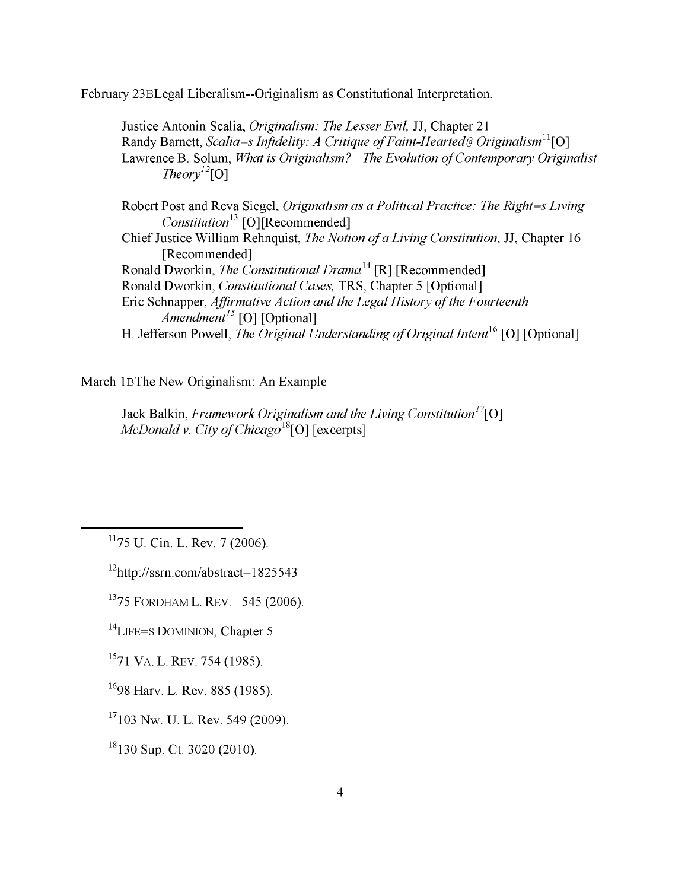February 23BLegal Liberalism—Originalism as Constitutional Interpretation.

Justice Antonin Scalia, *Originalism: The Lesser Evil,* JJ, Chapter 21 Randy Barnett, *Scalia=s Infidelity: A Critique of Faint-Hearted* @ *Originalism*<sup>11</sup>[O] Lawrence B. Solum, *What is Originalism? The Evolution of Contemporary Originalist Iheory*<sup>12</sup>[0]

Robert Post and Reva Siegel, *Originalism as a Political Practice: The Right=s Living Constitution*<sup>13</sup> [O][Recommended] Chief Justice William Rehnquist, *The Notion of a Living Constitution*, JJ, Chapter 16 [Recommended] Ronald Dworkin, *The Constitutional Drama*14 [R] [Recommended] Ronald Dworkin, *Constitutional Cases,* TRS, Chapter 5 [Optional] Eric Schnapper, *Affirmative Action and the Legal History of the Fourteenth Amendment<sup>15</sup>* [O] [Optional] H. Jefferson Powell, *The Original Understanding of Original Intent*<sup>16</sup> [O] [Optional]

March lBThe New Originalism: An Example

Jack Balkin, *Framework Originalism and the Living Constitution*<sup>17</sup>[O] *McDonald v. City of Chicago*<sup>18</sup>[O] [excerpts]

 $11$ 75 U. Cin. L. Rev. 7 (2006).

12http://ssrn.com/abstract=l 825543

 $1375$  FORDHAM L. REV. 545 (2006).

 $^{14}$ LIFE=S DOMINION, Chapter 5.

 $1571$  VA. L. REV. 754 (1985).

1698 Harv. L. Rev. 885 (1985).

 $17103$  Nw. U. L. Rev. 549 (2009).

18130 Sup. Ct. 3020 (2010).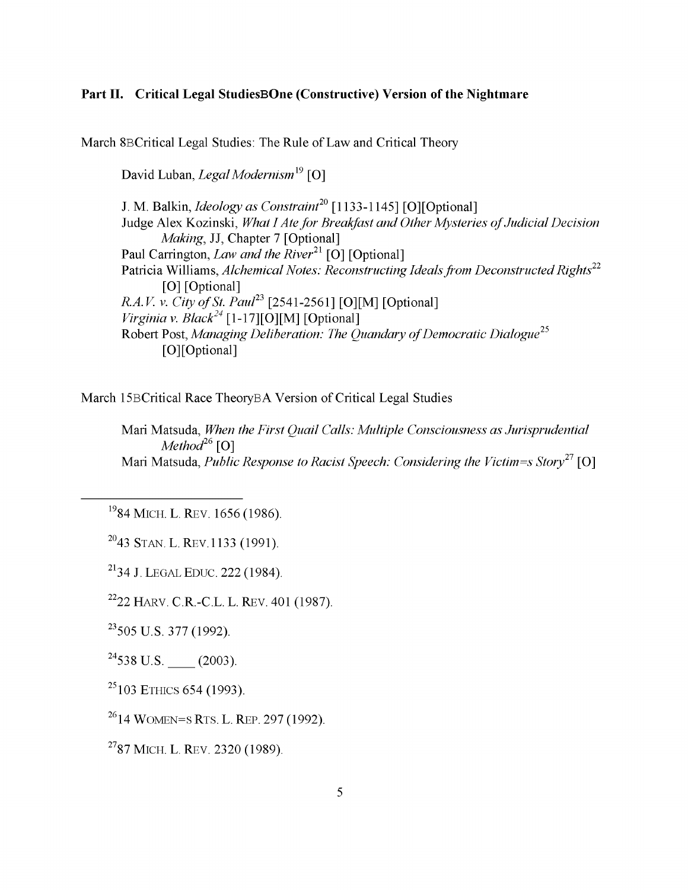### **Part II. Critical Legal StudiesBOne (Constructive) Version of the Nightmare**

March 8BCritical Legal Studies: The Rule of Law and Critical Theory

David Luban, *Legal Modernism19* [O]

J. M. Balkin, *Ideology as Constraint*<sup>20</sup> [1133-1145] [O][Optional] Judge Alex Kozinski, *What I Ate for Breakfast and Other Mysteries of Judicial Decision Making*, JJ, Chapter 7 [Optional] Paul Carrington, *Law and the River*<sup>21</sup> [O] [Optional] Patricia Williams, *Alchemical Notes: Reconstructing Ideals from Deconstructed Rights22* [O] [Optional] *R.A.V. v. City of St. Paul*<sup>23</sup> [2541-2561] [O][M] [Optional] *Virginia v. Black*<sup>24</sup> [1-17][O][M] [Optional] Robert Post, *Managing Deliberation: The Quandary of Democratic Dialogue*<sup>25</sup> [O] [Optional]

March 15BCritical Race TheoryBA Version of Critical Legal Studies

Mari Matsuda, *When the First Quail Calls: Multiple Consciousness as Jurisprudential Method26* [O] Mari Matsuda, *Public Response to Racist Speech: Considering the Victim=s Story21* [O]

<sup>19</sup>84 MICH. L. REV. 1656 (1986).

 $2043$  STAN. L. REV. 1133 (1991).

<sup>21</sup>34 J. LEGAL EDUC. 222 (1984).

 $2222$  HARV. C.R.-C.L. L. REV. 401 (1987).

 $^{23}$ 505 U.S. 377 (1992).

 $^{24}$ 538 U.S. (2003).

 $25103$  ETHICS 654 (1993).

 $2614$  WOMEN=S RTS, L. REP, 297 (1992).

<sup>27</sup>87 MICH. L. REV. 2320 (1989).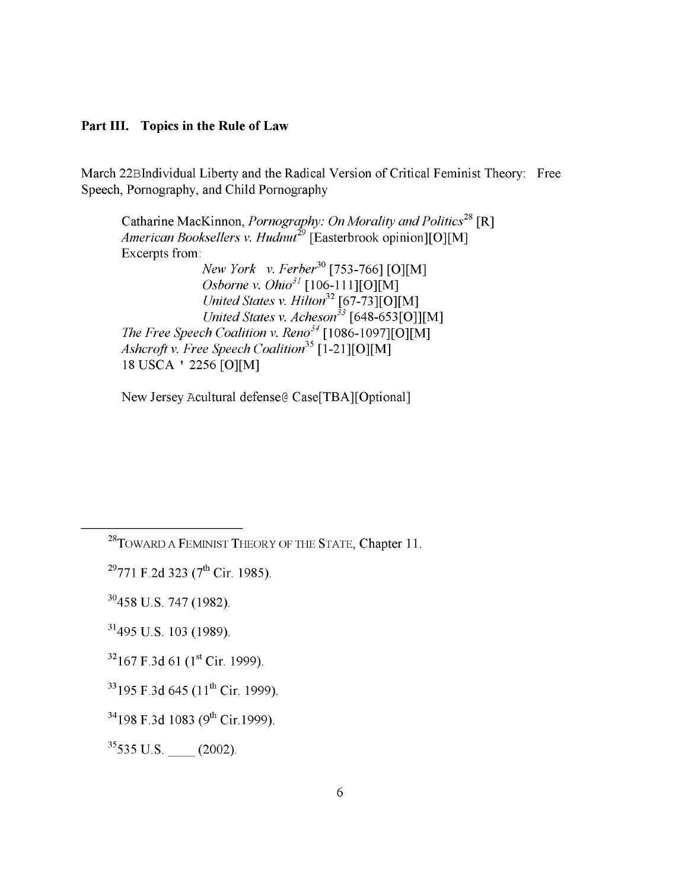#### **Part III. Topics in the Rule of Law**

March 22Blndividual Liberty and the Radical Version of Critical Feminist Theory: Free Speech, Pornography, and Child Pornography

Catharine MacKinnon, *Pornography: On Morality and Politics*<sup>28</sup> [R] American Booksellers v. Hudnut<sup>29</sup> [Easterbrook opinion][O][M] Excerpts from: *New York v. Ferber*<sup>30</sup> [753-766] [O][M] *Osborne v. Ohio31* [106-111][0][M] *United States v. Hilton*32 [67-73][0][M] *United States v. Acheson33* [648-653 [0]][M] *The Free Speech Coalition v. Reno<sup>34</sup>* [1086-1097] [O][M] *Ashcroft v. Free Speech Coalition*35 [1-21][0][M] 18USCA ' 2256 [0][M]

New Jersey Acultural defense® Case[TBA][Optional]

 $29771$  F.2d 323 (7<sup>th</sup> Cir. 1985).

30458 U.S. 747(1982).

 $31495$  U.S. 103 (1989).

 $32$ 167 F.3d 61 (1st Cir. 1999).

 $33$  195 F.3d 645 (11<sup>th</sup> Cir. 1999).

 $35535$  U.S. (2002).

 $^{28}$ TOWARD A FEMINIST THEORY OF THE STATE, Chapter 11.

 $34198$  F.3d 1083 (9<sup>th</sup> Cir. 1999).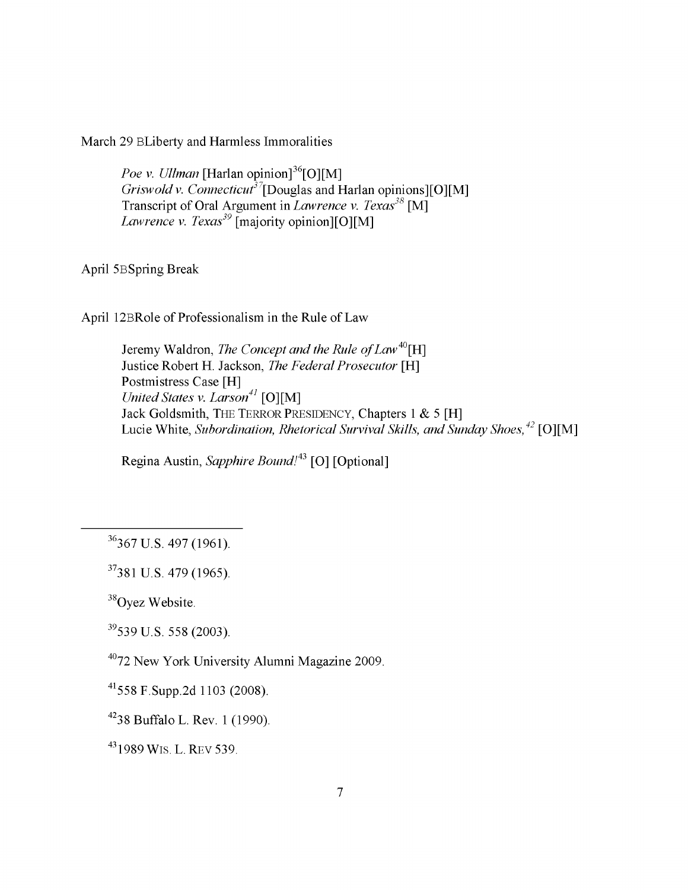March 29 BLiberty and Harmless Immoralities

*Poe v. Ullman* [Harlan opinion]<sup>36</sup>[O][M] *Griswold v. Connecticut<sup>37</sup>*[Douglas and Harlan opinions][O][M] Transcript of Oral Argument in *Lawrence v. Texas*<sup>38</sup> [M] *Lawrence v. Texas*<sup>39</sup> [majority opinion][O][M]

April 5BSpring Break

April 12BRole of Professionalism in the Rule of Law

Jeremy Waldron, *The Concept and the Rule of Law*<sup>40</sup>[H] Justice Robert H. Jackson, *The Federal Prosecutor* [H] Postmistress Case [H] *United States v. Larson*<sup>41</sup> [O][M] Jack Goldsmith, THE TERROR PRESIDENCY, Chapters 1 & 5 [H] Lucie White, *Subordination, Rhetorical Survival Skills, and Sunday Shoes*,<sup>42</sup> [O][M]

Regina Austin, *Sapphire Bound!43* [O] [Optional]

37381 U.S. 479(1965).

<sup>38</sup>Oyez Website.

39539 U.S. 558 (2003).

4072 New York University Alumni Magazine 2009.

41558 F.Supp.2d 1103 (2008).

4238 Buffalo L. Rev. 1 (1990).

43 1989 WIS. L. REV 539.

<sup>36367</sup> U.S. 497(1961).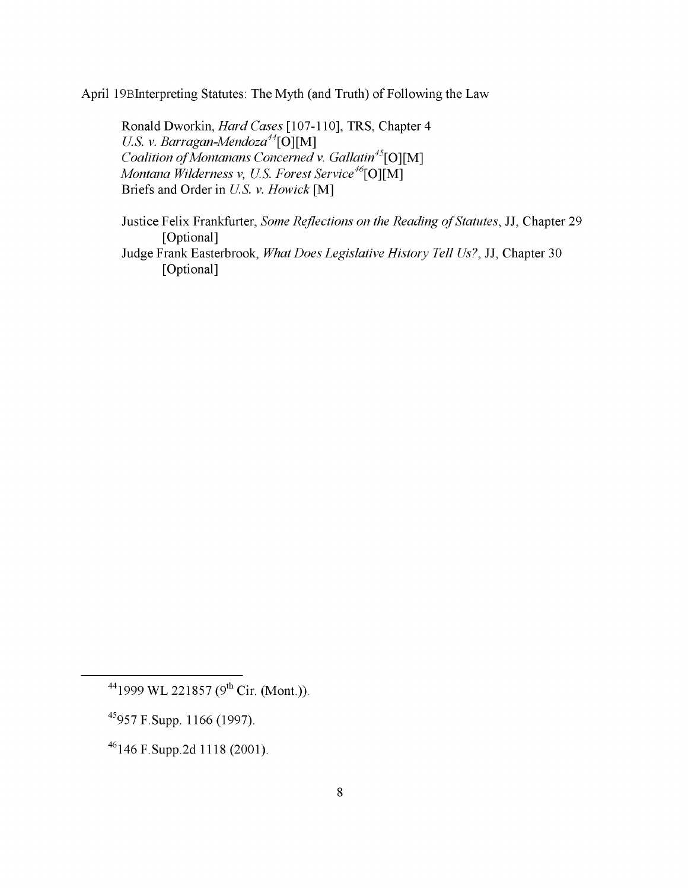April 19Blnterpreting Statutes: The Myth (and Truth) of Following the Law

Ronald Dworkin, *Hard Cases* [107-110], TRS, Chapter 4 *U.S. v. Barragan-Mendoza44\*0][M ] *Coalition of Montanans Concerned v. Gallatin<sup>45</sup>*[O][M] *Montana Wilderness v, U.S. Forest Service*<sup>46</sup>[O][M] Briefs and Order in *U.S. v. Howick* [M]

Justice Felix Frankfurter, *Some Reflections on the Reading of Statutes*, JJ, Chapter 29 [Optional]

Judge Frank Easterbrook, *What Does Legislative History Tell Us?,* JJ, Chapter 30 [Optional]

45957 F.Supp. 1166 (1997).

 $^{44}$ 1999 WL 221857 (9<sup>th</sup> Cir. (Mont.)).

<sup>46146</sup> F.Supp.2d 1118 (2001).